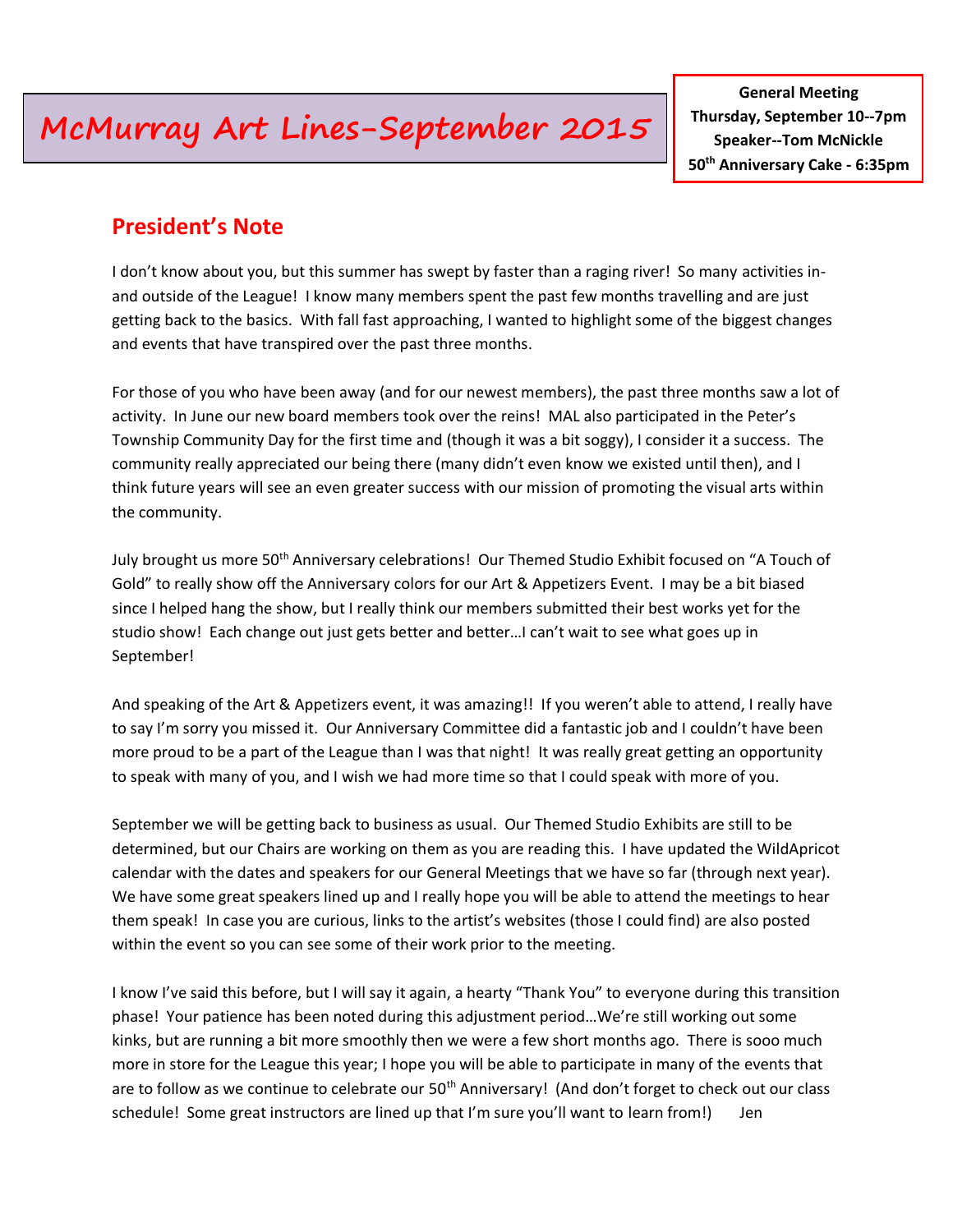# **McMurray Art Lines-September 2015**

**General Meeting Thursday, September 10--7pm Speaker--Tom McNickle 50th Anniversary Cake - 6:35pm**

### **President's Note**

I don't know about you, but this summer has swept by faster than a raging river! So many activities inand outside of the League! I know many members spent the past few months travelling and are just getting back to the basics. With fall fast approaching, I wanted to highlight some of the biggest changes and events that have transpired over the past three months.

For those of you who have been away (and for our newest members), the past three months saw a lot of activity. In June our new board members took over the reins! MAL also participated in the Peter's Township Community Day for the first time and (though it was a bit soggy), I consider it a success. The community really appreciated our being there (many didn't even know we existed until then), and I think future years will see an even greater success with our mission of promoting the visual arts within the community.

July brought us more 50<sup>th</sup> Anniversary celebrations! Our Themed Studio Exhibit focused on "A Touch of Gold" to really show off the Anniversary colors for our Art & Appetizers Event. I may be a bit biased since I helped hang the show, but I really think our members submitted their best works yet for the studio show! Each change out just gets better and better…I can't wait to see what goes up in September!

And speaking of the Art & Appetizers event, it was amazing!! If you weren't able to attend, I really have to say I'm sorry you missed it. Our Anniversary Committee did a fantastic job and I couldn't have been more proud to be a part of the League than I was that night! It was really great getting an opportunity to speak with many of you, and I wish we had more time so that I could speak with more of you.

September we will be getting back to business as usual. Our Themed Studio Exhibits are still to be determined, but our Chairs are working on them as you are reading this. I have updated the WildApricot calendar with the dates and speakers for our General Meetings that we have so far (through next year). We have some great speakers lined up and I really hope you will be able to attend the meetings to hear them speak! In case you are curious, links to the artist's websites (those I could find) are also posted within the event so you can see some of their work prior to the meeting.

I know I've said this before, but I will say it again, a hearty "Thank You" to everyone during this transition phase! Your patience has been noted during this adjustment period…We're still working out some kinks, but are running a bit more smoothly then we were a few short months ago. There is sooo much more in store for the League this year; I hope you will be able to participate in many of the events that are to follow as we continue to celebrate our 50<sup>th</sup> Anniversary! (And don't forget to check out our class schedule! Some great instructors are lined up that I'm sure you'll want to learn from!) Jen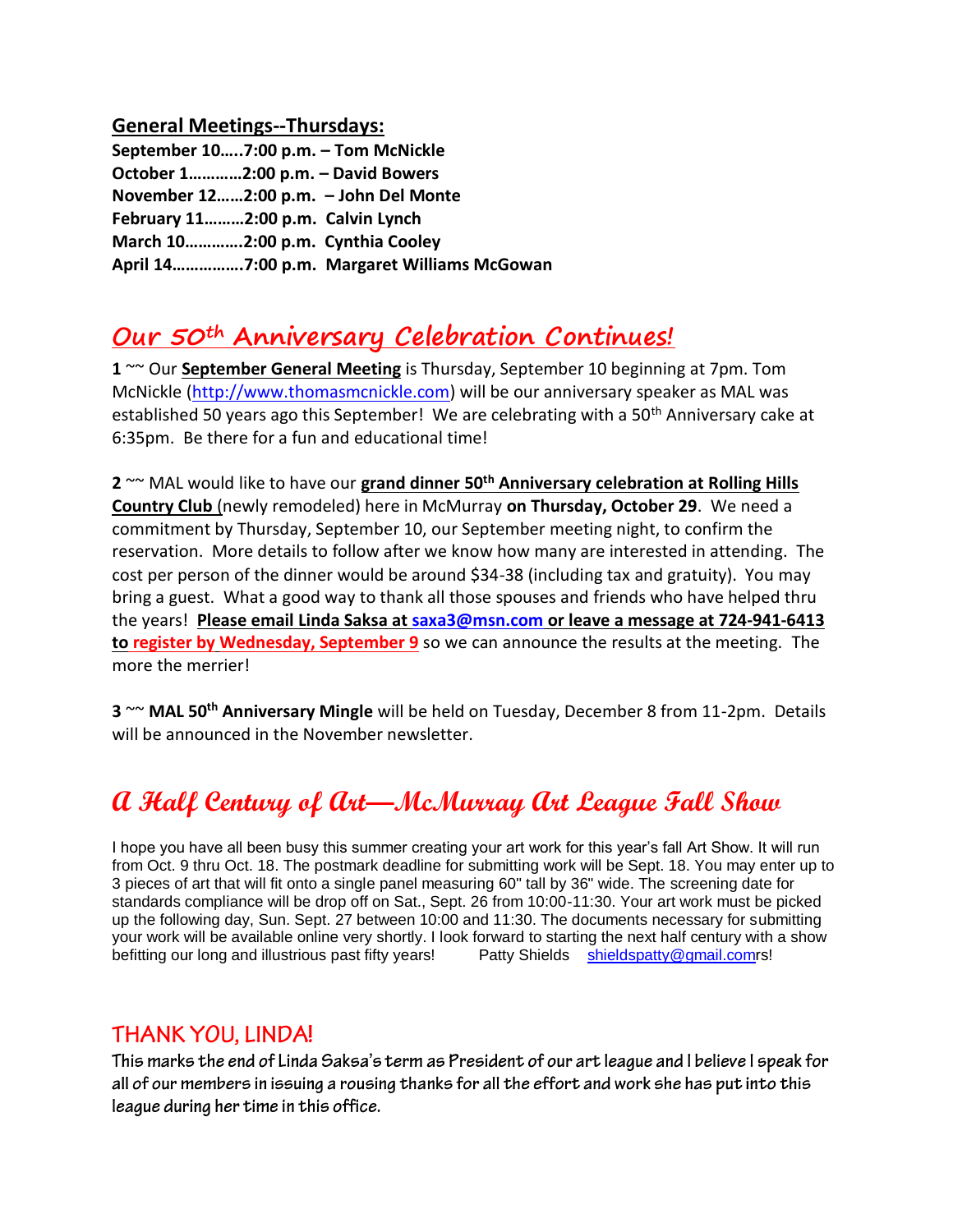#### **General Meetings--Thursdays:**

| September 107:00 p.m. - Tom McNickle |                                             |
|--------------------------------------|---------------------------------------------|
| October 12:00 p.m. - David Bowers    |                                             |
|                                      | November 122:00 p.m. - John Del Monte       |
| February 112:00 p.m. Calvin Lynch    |                                             |
| March 102:00 p.m. Cynthia Cooley     |                                             |
|                                      | April 147:00 p.m. Margaret Williams McGowan |

## **Our 50th Anniversary Celebration Continues!**

**1** ~~ Our **September General Meeting** is Thursday, September 10 beginning at 7pm. Tom McNickle [\(http://www.thomasmcnickle.com\)](http://www.thomasmcnickle.com/) will be our anniversary speaker as MAL was established 50 years ago this September! We are celebrating with a 50<sup>th</sup> Anniversary cake at 6:35pm. Be there for a fun and educational time!

**2** ~~ MAL would like to have our **grand dinner 50th Anniversary celebration at Rolling Hills Country Club** (newly remodeled) here in McMurray **on Thursday, October 29**. We need a commitment by Thursday, September 10, our September meeting night, to confirm the reservation. More details to follow after we know how many are interested in attending. The cost per person of the dinner would be around \$34-38 (including tax and gratuity). You may bring a guest. What a good way to thank all those spouses and friends who have helped thru the years! **Please email Linda Saksa a[t saxa3@msn.com](mailto:saxa3@msn.com) or leave a message at 724-941-6413 to register by Wednesday, September 9** so we can announce the results at the meeting.The more the merrier!

**3** ~~ **MAL 50th Anniversary Mingle** will be held on Tuesday, December 8 from 11-2pm. Details will be announced in the November newsletter.

## **A Half Century of Art—McMurray Art League Fall Show**

I hope you have all been busy this summer creating your art work for this year's fall Art Show. It will run from Oct. 9 thru Oct. 18. The postmark deadline for submitting work will be Sept. 18. You may enter up to 3 pieces of art that will fit onto a single panel measuring 60" tall by 36" wide. The screening date for standards compliance will be drop off on Sat., Sept. 26 from 10:00-11:30. Your art work must be picked up the following day, Sun. Sept. 27 between 10:00 and 11:30. The documents necessary for submitting your work will be available online very shortly. I look forward to starting the next half century with a show befitting our long and illustrious past fifty years! Patty Shields [shieldspatty@gmail.comr](mailto:shieldspatty@gmail.com)s!

## **THANK YOU, LINDA!**

This marks the end of Linda Saksa's term as President of our art league and I believe I speak for all of our members in issuing a rousing thanks for all the effort and work she has put into this league during her time in this office.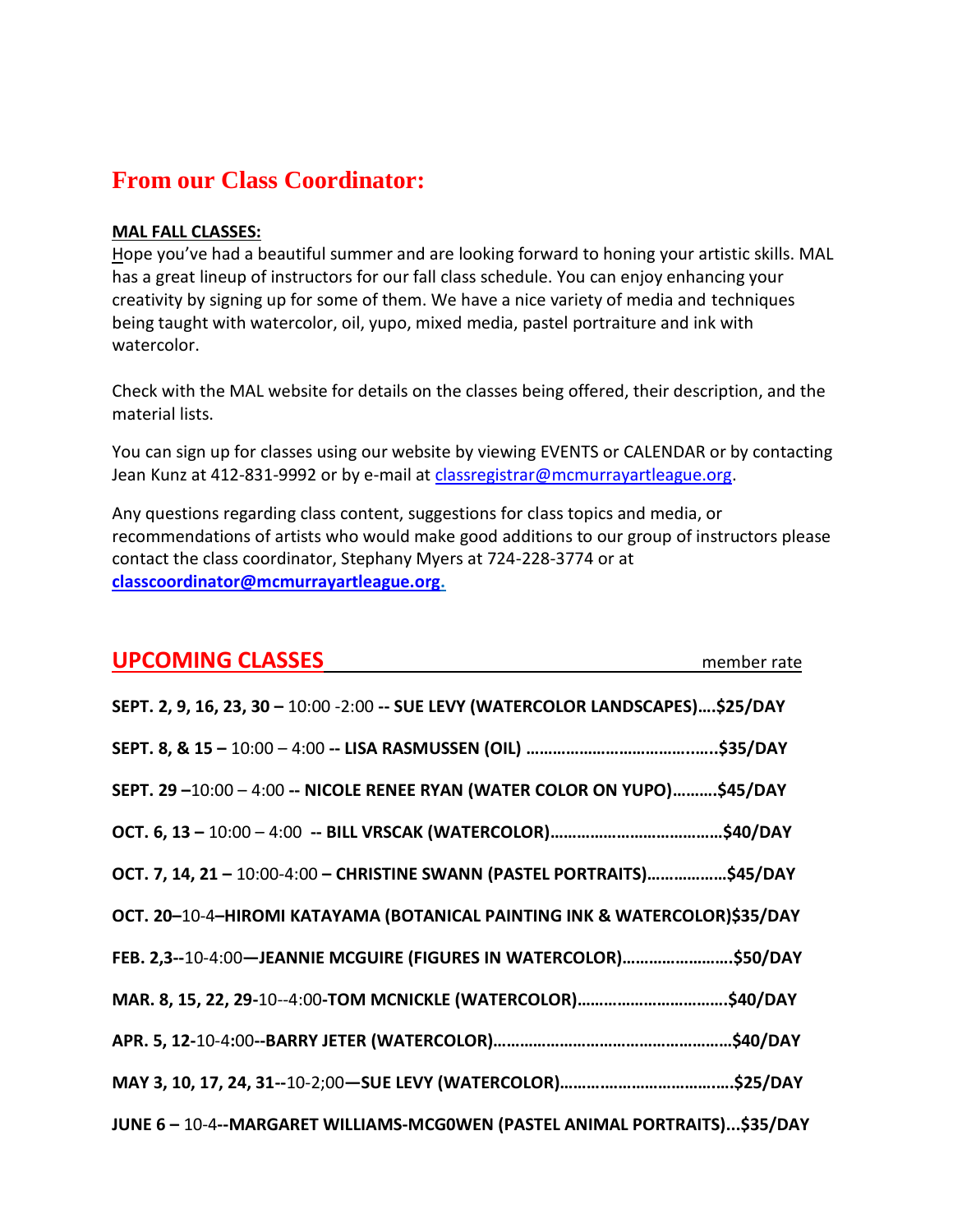## **From our Class Coordinator:**

#### **MAL FALL CLASSES:**

Hope you've had a beautiful summer and are looking forward to honing your artistic skills. MAL has a great lineup of instructors for our fall class schedule. You can enjoy enhancing your creativity by signing up for some of them. We have a nice variety of media and techniques being taught with watercolor, oil, yupo, mixed media, pastel portraiture and ink with watercolor.

Check with the MAL website for details on the classes being offered, their description, and the material lists.

You can sign up for classes using our website by viewing EVENTS or CALENDAR or by contacting Jean Kunz at 412-831-9992 or by e-mail at [classregistrar@mcmurrayartleague.org.](mailto:classregistrar@mcmurrayartleague.org)

Any questions regarding class content, suggestions for class topics and media, or recommendations of artists who would make good additions to our group of instructors please contact the class coordinator, Stephany Myers at 724-228-3774 or at **[classcoordinator@mcmurrayartleague.org.](mailto:classcoordinator@mcmurrayartleague.org)**

| <b>UPCOMING CLASSES</b>                                                           | member rate |
|-----------------------------------------------------------------------------------|-------------|
| SEPT. 2, 9, 16, 23, 30 - 10:00 - 2:00 -- SUE LEVY (WATERCOLOR LANDSCAPES)\$25/DAY |             |
|                                                                                   |             |
| SEPT. 29-10:00-4:00 -- NICOLE RENEE RYAN (WATER COLOR ON YUPO)\$45/DAY            |             |
|                                                                                   |             |
| OCT. 7, 14, 21 - 10:00-4:00 - CHRISTINE SWANN (PASTEL PORTRAITS)\$45/DAY          |             |
| OCT. 20-10-4-HIROMI KATAYAMA (BOTANICAL PAINTING INK & WATERCOLOR)\$35/DAY        |             |
| FEB. 2,3--10-4:00-JEANNIE MCGUIRE (FIGURES IN WATERCOLOR)\$50/DAY                 |             |
|                                                                                   |             |
|                                                                                   |             |
|                                                                                   |             |
| JUNE 6-10-4--MARGARET WILLIAMS-MCGOWEN (PASTEL ANIMAL PORTRAITS)\$35/DAY          |             |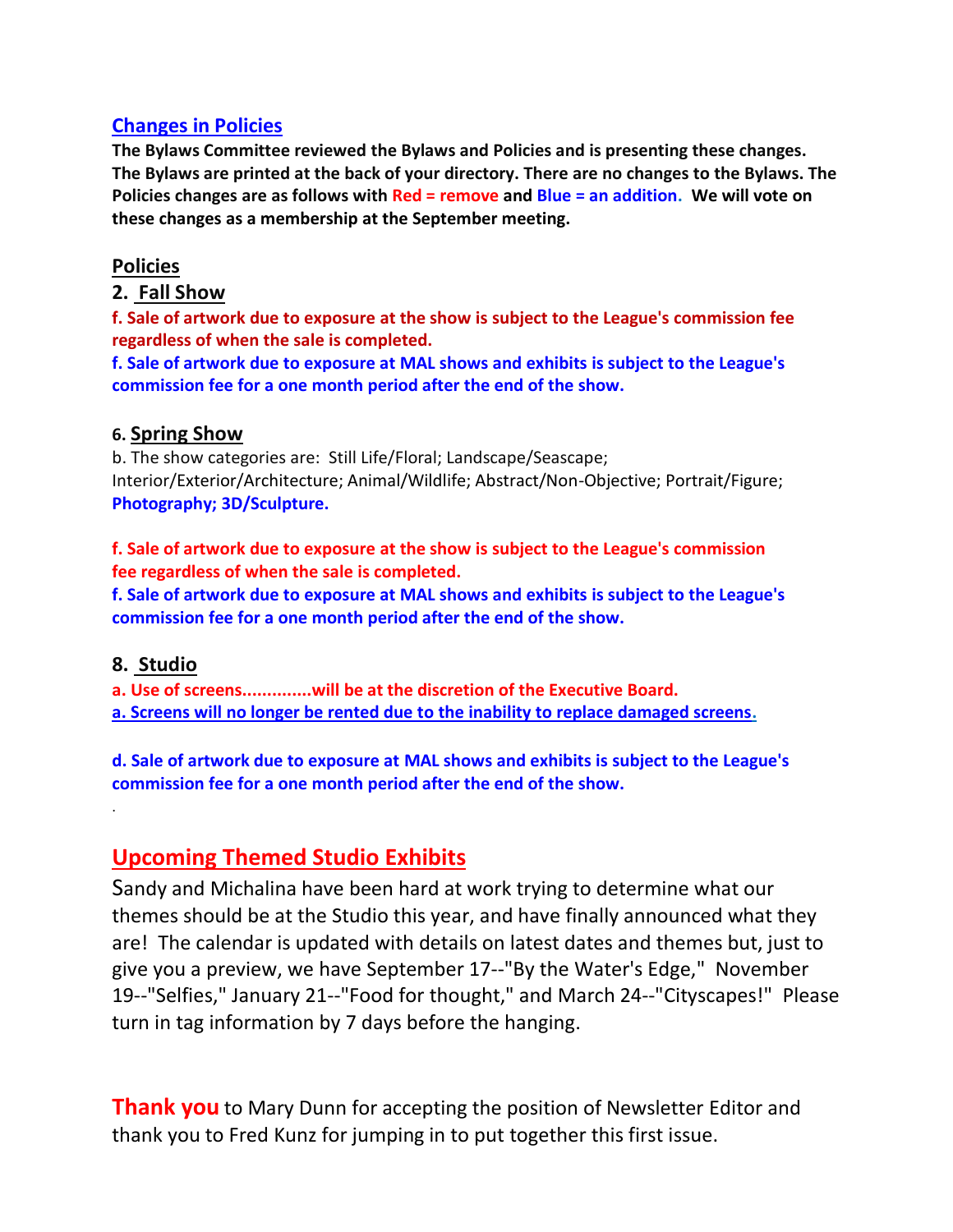#### **Changes in Policies**

**The Bylaws Committee reviewed the Bylaws and Policies and is presenting these changes. The Bylaws are printed at the back of your directory. There are no changes to the Bylaws. The Policies changes are as follows with Red = remove and Blue = an addition. We will vote on these changes as a membership at the September meeting.**

#### **Policies**

#### **2. Fall Show**

**f. Sale of artwork due to exposure at the show is subject to the League's commission fee regardless of when the sale is completed.**

**f. Sale of artwork due to exposure at MAL shows and exhibits is subject to the League's commission fee for a one month period after the end of the show.**

#### **6. Spring Show**

b. The show categories are: Still Life/Floral; Landscape/Seascape; Interior/Exterior/Architecture; Animal/Wildlife; Abstract/Non-Objective; Portrait/Figure; **Photography; 3D/Sculpture.**

**f. Sale of artwork due to exposure at the show is subject to the League's commission fee regardless of when the sale is completed.**

**f. Sale of artwork due to exposure at MAL shows and exhibits is subject to the League's commission fee for a one month period after the end of the show.**

#### **8. Studio**

.

**a. Use of screens..............will be at the discretion of the Executive Board.**

**a. Screens will no longer be rented due to the inability to replace damaged screens.**

**d. Sale of artwork due to exposure at MAL shows and exhibits is subject to the League's commission fee for a one month period after the end of the show.**

## **Upcoming Themed Studio Exhibits**

Sandy and Michalina have been hard at work trying to determine what our themes should be at the Studio this year, and have finally announced what they are! The calendar is updated with details on latest dates and themes but, just to give you a preview, we have September 17--"By the Water's Edge," November 19--"Selfies," January 21--"Food for thought," and March 24--"Cityscapes!" Please turn in tag information by 7 days before the hanging.

**Thank you** to Mary Dunn for accepting the position of Newsletter Editor and thank you to Fred Kunz for jumping in to put together this first issue.